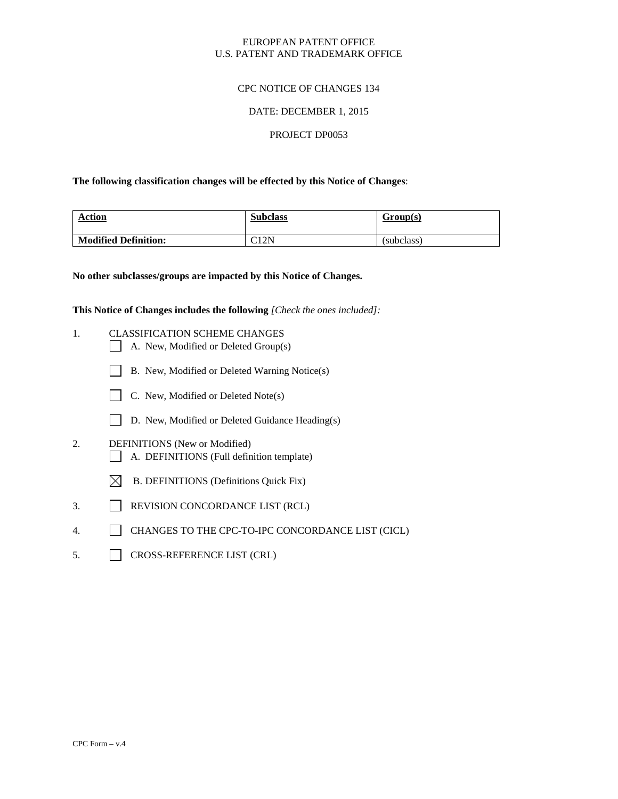# EUROPEAN PATENT OFFICE U.S. PATENT AND TRADEMARK OFFICE

# CPC NOTICE OF CHANGES 134

#### DATE: DECEMBER 1, 2015

#### PROJECT DP0053

#### **The following classification changes will be effected by this Notice of Changes**:

| <b>Action</b>               | <b>Subclass</b> | Group(s)   |
|-----------------------------|-----------------|------------|
| <b>Modified Definition:</b> | C12N            | (subclass) |

**No other subclasses/groups are impacted by this Notice of Changes.**

**This Notice of Changes includes the following** *[Check the ones included]:*

- 1. CLASSIFICATION SCHEME CHANGES
	- $\Box$  A. New, Modified or Deleted Group(s)
	- B. New, Modified or Deleted Warning Notice(s)
	- $\Box$  C. New, Modified or Deleted Note(s)
	- D. New, Modified or Deleted Guidance Heading(s)
- 2. DEFINITIONS (New or Modified) A. DEFINITIONS (Full definition template)
	- $\boxtimes$  B. DEFINITIONS (Definitions Quick Fix)
- 3. REVISION CONCORDANCE LIST (RCL)
- 4. CHANGES TO THE CPC-TO-IPC CONCORDANCE LIST (CICL)
- 5. CROSS-REFERENCE LIST (CRL)